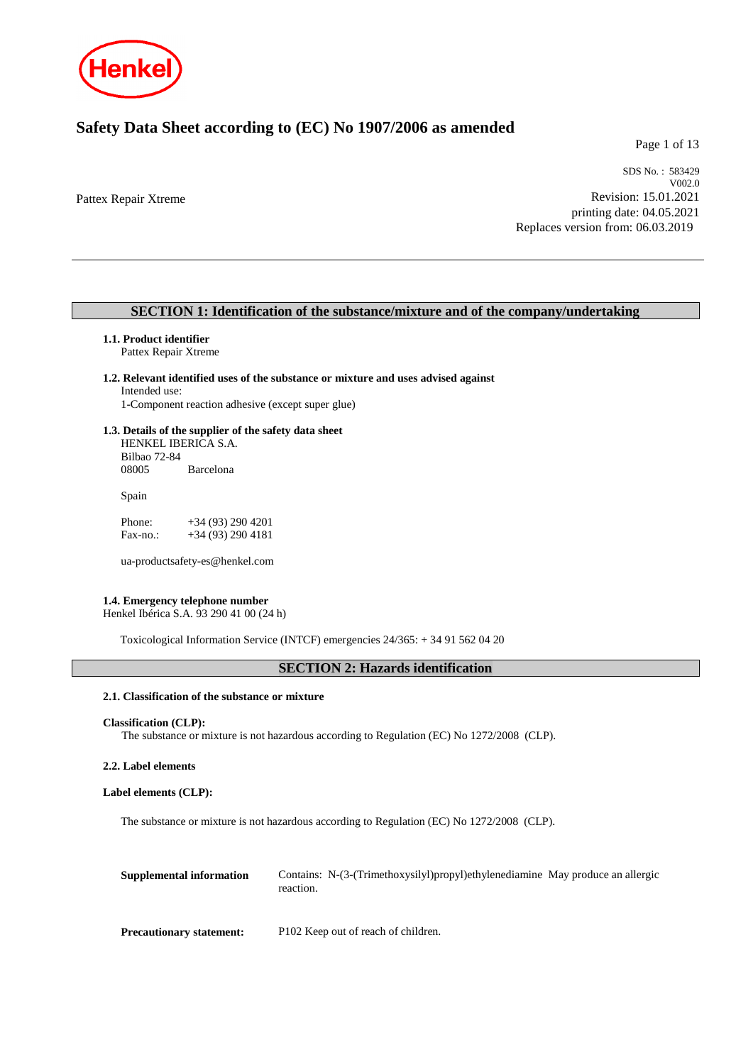

# **Safety Data Sheet according to (EC) No 1907/2006 as amended**

Page 1 of 13

Pattex Repair Xtreme

SDS No. : 583429 V002.0 Revision: 15.01.2021 printing date: 04.05.2021 Replaces version from: 06.03.2019

### **SECTION 1: Identification of the substance/mixture and of the company/undertaking**

### **1.1. Product identifier**

Pattex Repair Xtreme

#### **1.2. Relevant identified uses of the substance or mixture and uses advised against** Intended use:

1-Component reaction adhesive (except super glue)

### **1.3. Details of the supplier of the safety data sheet**

HENKEL IBERICA S.A. Bilbao 72-84 **Barcelona** 

Spain

| Phone:   | $+34(93)2904201$ |
|----------|------------------|
| Fax-no.: | $+34(93)2904181$ |

ua-productsafety-es@henkel.com

### **1.4. Emergency telephone number**

Henkel Ibérica S.A. 93 290 41 00 (24 h)

Toxicological Information Service (INTCF) emergencies 24/365: + 34 91 562 04 20

## **SECTION 2: Hazards identification**

### **2.1. Classification of the substance or mixture**

```
Classification (CLP):
```
The substance or mixture is not hazardous according to Regulation (EC) No 1272/2008 (CLP).

### **2.2. Label elements**

### **Label elements (CLP):**

The substance or mixture is not hazardous according to Regulation (EC) No 1272/2008 (CLP).

| Supplemental information        | Contains: N-(3-(Trimethoxysilyl)propyl)ethylenediamine May produce an allergic<br>reaction. |
|---------------------------------|---------------------------------------------------------------------------------------------|
| <b>Precautionary statement:</b> | P102 Keep out of reach of children.                                                         |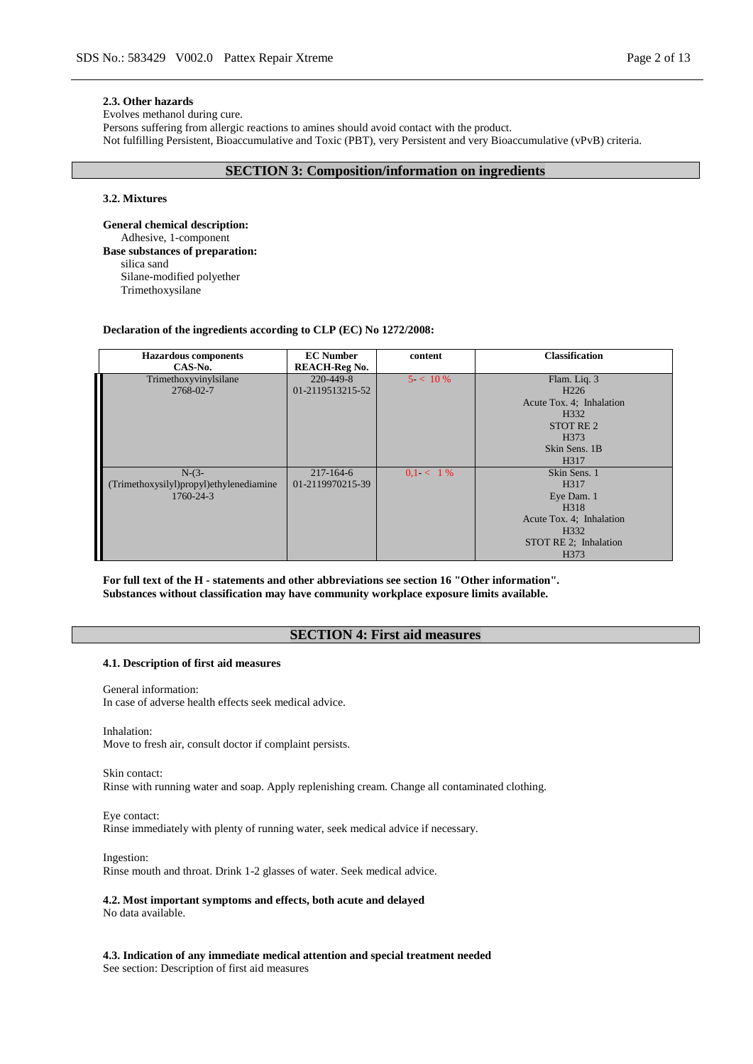#### **2.3. Other hazards**

Evolves methanol during cure.

Persons suffering from allergic reactions to amines should avoid contact with the product.

Not fulfilling Persistent, Bioaccumulative and Toxic (PBT), very Persistent and very Bioaccumulative (vPvB) criteria.

### **SECTION 3: Composition/information on ingredients**

#### **3.2. Mixtures**

**General chemical description:** Adhesive, 1-component **Base substances of preparation:** silica sand Silane-modified polyether Trimethoxysilane

#### **Declaration of the ingredients according to CLP (EC) No 1272/2008:**

| <b>Hazardous</b> components<br>CAS-No.                          | <b>EC</b> Number<br><b>REACH-Reg No.</b> | content     | <b>Classification</b>                                                                                                                                              |
|-----------------------------------------------------------------|------------------------------------------|-------------|--------------------------------------------------------------------------------------------------------------------------------------------------------------------|
| Trimethoxyvinylsilane<br>2768-02-7                              | 220-449-8<br>01-2119513215-52            | $5 < 10\%$  | Flam. Liq. 3<br>H <sub>226</sub><br>Acute Tox. 4; Inhalation<br>H <sub>3</sub> 32<br>STOT RE <sub>2</sub><br>H <sub>373</sub><br>Skin Sens. 1B<br>H <sub>317</sub> |
| $N-(3-$<br>(Trimethoxysilyl)propyl)ethylenediamine<br>1760-24-3 | $217 - 164 - 6$<br>01-2119970215-39      | $0.1 < 1\%$ | Skin Sens. 1<br>H <sub>317</sub><br>Eye Dam. 1<br>H318<br>Acute Tox. 4; Inhalation<br>H <sub>3</sub> 32<br>STOT RE 2; Inhalation<br>H <sub>373</sub>               |

**For full text of the H - statements and other abbreviations see section 16 "Other information". Substances without classification may have community workplace exposure limits available.**

### **SECTION 4: First aid measures**

#### **4.1. Description of first aid measures**

General information: In case of adverse health effects seek medical advice.

Inhalation:

Move to fresh air, consult doctor if complaint persists.

Skin contact: Rinse with running water and soap. Apply replenishing cream. Change all contaminated clothing.

Eye contact: Rinse immediately with plenty of running water, seek medical advice if necessary.

Ingestion: Rinse mouth and throat. Drink 1-2 glasses of water. Seek medical advice.

**4.2. Most important symptoms and effects, both acute and delayed** No data available.

**4.3. Indication of any immediate medical attention and special treatment needed** See section: Description of first aid measures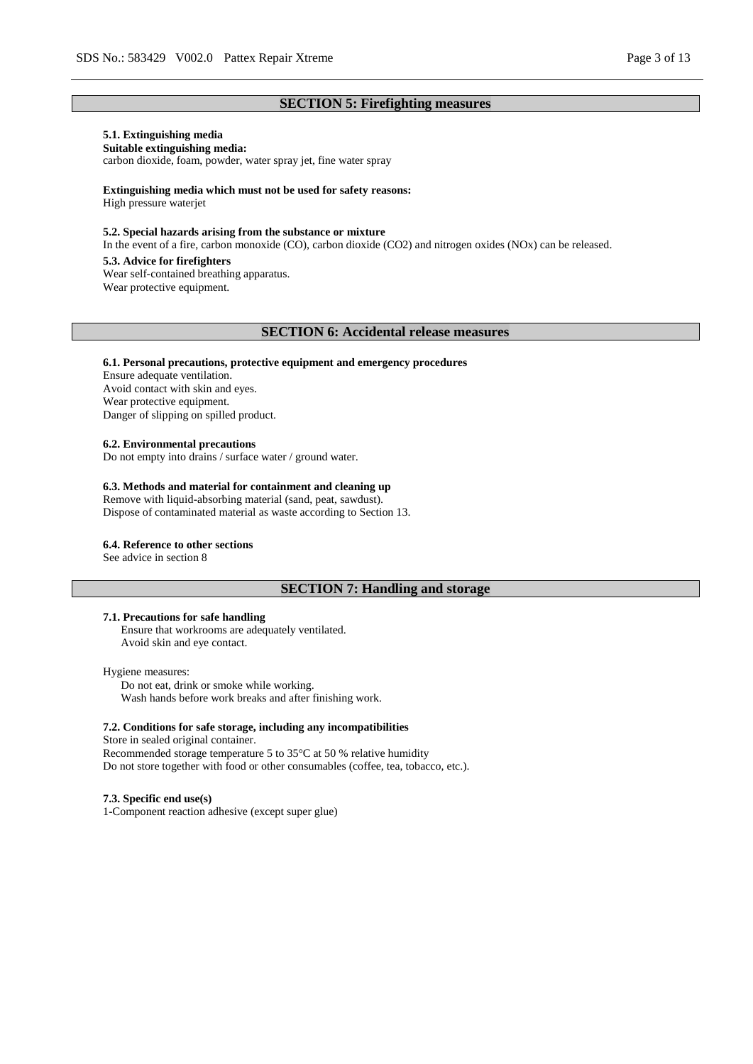### **SECTION 5: Firefighting measures**

# **5.1. Extinguishing media**

**Suitable extinguishing media:** carbon dioxide, foam, powder, water spray jet, fine water spray

**Extinguishing media which must not be used for safety reasons:** High pressure waterjet

#### **5.2. Special hazards arising from the substance or mixture**

In the event of a fire, carbon monoxide (CO), carbon dioxide (CO2) and nitrogen oxides (NOx) can be released.

#### **5.3. Advice for firefighters**

Wear self-contained breathing apparatus. Wear protective equipment.

#### **SECTION 6: Accidental release measures**

#### **6.1. Personal precautions, protective equipment and emergency procedures**

Ensure adequate ventilation. Avoid contact with skin and eyes. Wear protective equipment. Danger of slipping on spilled product.

#### **6.2. Environmental precautions**

Do not empty into drains / surface water / ground water.

### **6.3. Methods and material for containment and cleaning up**

Remove with liquid-absorbing material (sand, peat, sawdust). Dispose of contaminated material as waste according to Section 13.

#### **6.4. Reference to other sections**

See advice in section 8

### **SECTION 7: Handling and storage**

### **7.1. Precautions for safe handling**

Ensure that workrooms are adequately ventilated. Avoid skin and eye contact.

#### Hygiene measures:

Do not eat, drink or smoke while working. Wash hands before work breaks and after finishing work.

### **7.2. Conditions for safe storage, including any incompatibilities**

Store in sealed original container. Recommended storage temperature 5 to 35°C at 50 % relative humidity Do not store together with food or other consumables (coffee, tea, tobacco, etc.).

#### **7.3. Specific end use(s)**

1-Component reaction adhesive (except super glue)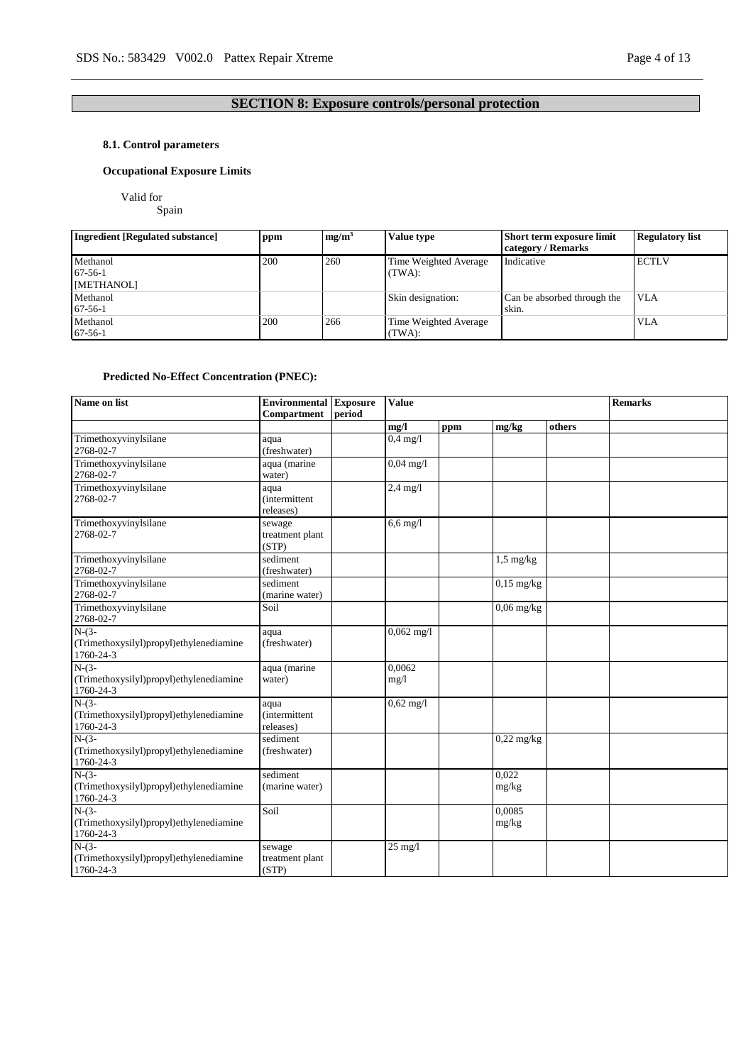# **SECTION 8: Exposure controls/personal protection**

### **8.1. Control parameters**

### **Occupational Exposure Limits**

Valid for

Spain

| Ingredient [Regulated substance] | ppm | mg/m <sup>3</sup> | Value type            | Short term exposure limit   | <b>Regulatory list</b> |
|----------------------------------|-----|-------------------|-----------------------|-----------------------------|------------------------|
|                                  |     |                   |                       | category / Remarks          |                        |
| Methanol                         | 200 | 260               | Time Weighted Average | Indicative                  | <b>ECTLV</b>           |
| $67-56-1$                        |     |                   | (TWA):                |                             |                        |
| [METHANOL]                       |     |                   |                       |                             |                        |
| Methanol                         |     |                   | Skin designation:     | Can be absorbed through the | <b>VLA</b>             |
| $67-56-1$                        |     |                   |                       | skin.                       |                        |
| Methanol                         | 200 | 266               | Time Weighted Average |                             | <b>VLA</b>             |
| $67-56-1$                        |     |                   | (TWA):                |                             |                        |

### **Predicted No-Effect Concentration (PNEC):**

| Name on list                                                    | <b>Environmental Exposure</b><br>Compartment | period | <b>Value</b>       |     |                 |        | <b>Remarks</b> |
|-----------------------------------------------------------------|----------------------------------------------|--------|--------------------|-----|-----------------|--------|----------------|
|                                                                 |                                              |        | mg/l               | ppm | mg/kg           | others |                |
| Trimethoxyvinylsilane<br>2768-02-7                              | aqua<br>(freshwater)                         |        | $0.4$ mg/l         |     |                 |        |                |
| Trimethoxyvinylsilane<br>2768-02-7                              | aqua (marine<br>water)                       |        | $0.04$ mg/l        |     |                 |        |                |
| Trimethoxyvinylsilane<br>2768-02-7                              | aqua<br><i>(intermittent)</i><br>releases)   |        | $2.4 \text{ mg}/l$ |     |                 |        |                |
| Trimethoxyvinylsilane<br>2768-02-7                              | sewage<br>treatment plant<br>(STP)           |        | $6,6$ mg/l         |     |                 |        |                |
| Trimethoxyvinylsilane<br>2768-02-7                              | sediment<br>(freshwater)                     |        |                    |     | $1,5$ mg/kg     |        |                |
| Trimethoxyvinylsilane<br>2768-02-7                              | sediment<br>(marine water)                   |        |                    |     | $0,15$ mg/kg    |        |                |
| Trimethoxyvinylsilane<br>2768-02-7                              | Soil                                         |        |                    |     | $0,06$ mg/kg    |        |                |
| $N-(3-$<br>(Trimethoxysilyl)propyl)ethylenediamine<br>1760-24-3 | aqua<br>(freshwater)                         |        | $0,062$ mg/l       |     |                 |        |                |
| $N-(3-$<br>(Trimethoxysilyl)propyl)ethylenediamine<br>1760-24-3 | aqua (marine<br>water)                       |        | 0.0062<br>mg/l     |     |                 |        |                |
| $N-(3-$<br>(Trimethoxysilyl)propyl)ethylenediamine<br>1760-24-3 | aqua<br><i>(intermittent)</i><br>releases)   |        | $0,62$ mg/l        |     |                 |        |                |
| $N-(3-$<br>(Trimethoxysilyl)propyl)ethylenediamine<br>1760-24-3 | sediment<br>(freshwater)                     |        |                    |     | $0,22$ mg/kg    |        |                |
| $N-(3-$<br>(Trimethoxysilyl)propyl)ethylenediamine<br>1760-24-3 | sediment<br>(marine water)                   |        |                    |     | 0.022<br>mg/kg  |        |                |
| $N-(3-$<br>(Trimethoxysilyl)propyl)ethylenediamine<br>1760-24-3 | Soil                                         |        |                    |     | 0.0085<br>mg/kg |        |                |
| $N-(3-$<br>(Trimethoxysilyl)propyl)ethylenediamine<br>1760-24-3 | sewage<br>treatment plant<br>(STP)           |        | $25 \text{ mg}/1$  |     |                 |        |                |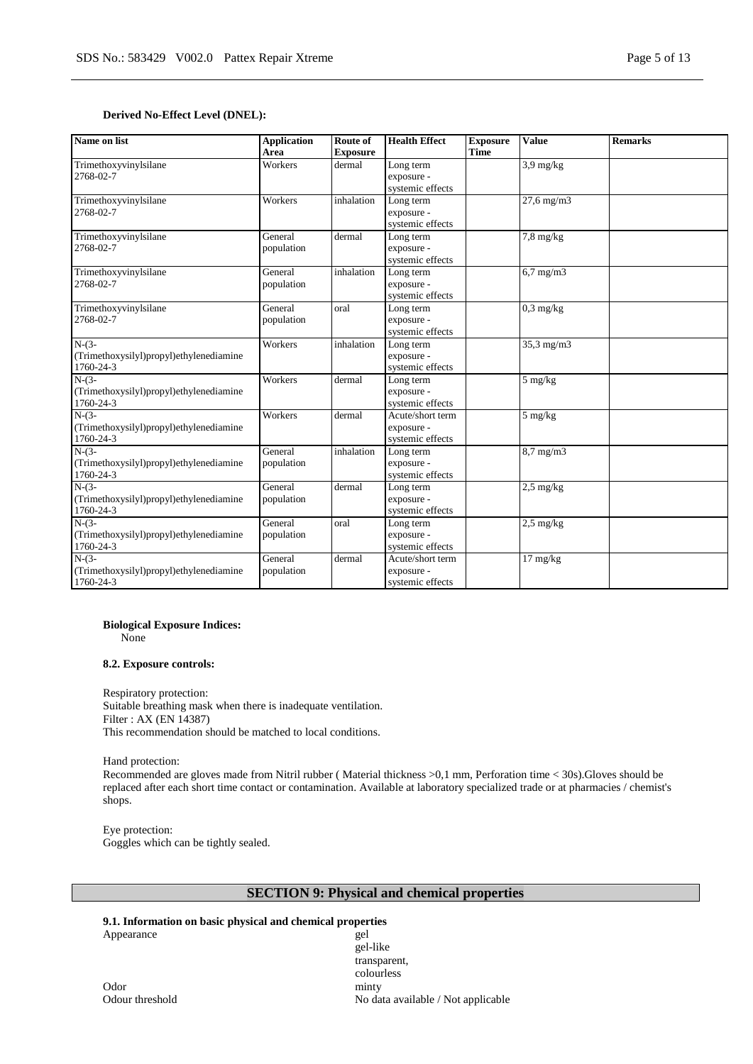### **Derived No-Effect Level (DNEL):**

| Name on list                                                    | <b>Application</b><br>Area | Route of<br><b>Exposure</b> | <b>Health Effect</b>                               | <b>Exposure</b><br><b>Time</b> | <b>Value</b>          | <b>Remarks</b> |
|-----------------------------------------------------------------|----------------------------|-----------------------------|----------------------------------------------------|--------------------------------|-----------------------|----------------|
| Trimethoxyvinylsilane<br>2768-02-7                              | Workers                    | dermal                      | Long term<br>exposure -<br>systemic effects        |                                | $3.9 \text{ mg/kg}$   |                |
| Trimethoxyvinylsilane<br>2768-02-7                              | Workers                    | inhalation                  | Long term<br>exposure -<br>systemic effects        |                                | $27.6 \text{ mg/m}$ 3 |                |
| Trimethoxyvinylsilane<br>2768-02-7                              | General<br>population      | dermal                      | Long term<br>exposure -<br>systemic effects        |                                | $7,8$ mg/kg           |                |
| Trimethoxyvinylsilane<br>2768-02-7                              | General<br>population      | inhalation                  | Long term<br>exposure -<br>systemic effects        |                                | $6,7$ mg/m $3$        |                |
| Trimethoxyvinylsilane<br>2768-02-7                              | General<br>population      | oral                        | Long term<br>exposure -<br>systemic effects        |                                | $0,3$ mg/kg           |                |
| $N-(3-$<br>(Trimethoxysilyl)propyl)ethylenediamine<br>1760-24-3 | Workers                    | inhalation                  | Long term<br>exposure -<br>systemic effects        |                                | $35.3 \text{ mg/m}$   |                |
| $N-(3-$<br>(Trimethoxysilyl)propyl)ethylenediamine<br>1760-24-3 | Workers                    | dermal                      | Long term<br>exposure -<br>systemic effects        |                                | $5 \text{ mg/kg}$     |                |
| $N-(3-$<br>(Trimethoxysilyl)propyl)ethylenediamine<br>1760-24-3 | Workers                    | dermal                      | Acute/short term<br>exposure -<br>systemic effects |                                | 5 mg/kg               |                |
| $N-(3-$<br>(Trimethoxysilyl)propyl)ethylenediamine<br>1760-24-3 | General<br>population      | inhalation                  | Long term<br>exposure -<br>systemic effects        |                                | $8.7$ mg/m $3$        |                |
| $N-(3-$<br>(Trimethoxysilyl)propyl)ethylenediamine<br>1760-24-3 | General<br>population      | dermal                      | Long term<br>exposure -<br>systemic effects        |                                | $2.5 \text{ mg/kg}$   |                |
| $N-(3-$<br>(Trimethoxysilyl)propyl)ethylenediamine<br>1760-24-3 | General<br>population      | oral                        | Long term<br>exposure -<br>systemic effects        |                                | $2,5$ mg/kg           |                |
| $N-(3-$<br>(Trimethoxysilyl)propyl)ethylenediamine<br>1760-24-3 | General<br>population      | dermal                      | Acute/short term<br>exposure -<br>systemic effects |                                | $17 \text{ mg/kg}$    |                |

### **Biological Exposure Indices:**

None

#### **8.2. Exposure controls:**

Respiratory protection: Suitable breathing mask when there is inadequate ventilation. Filter : AX (EN 14387) This recommendation should be matched to local conditions.

Hand protection:

Recommended are gloves made from Nitril rubber ( Material thickness >0,1 mm, Perforation time < 30s).Gloves should be replaced after each short time contact or contamination. Available at laboratory specialized trade or at pharmacies / chemist's shops.

Eye protection: Goggles which can be tightly sealed.

# **SECTION 9: Physical and chemical properties**

### **9.1. Information on basic physical and chemical properties**

Appearance gel

gel-like transparent, colourless Odour threshold No data available / Not applicable

Odor minty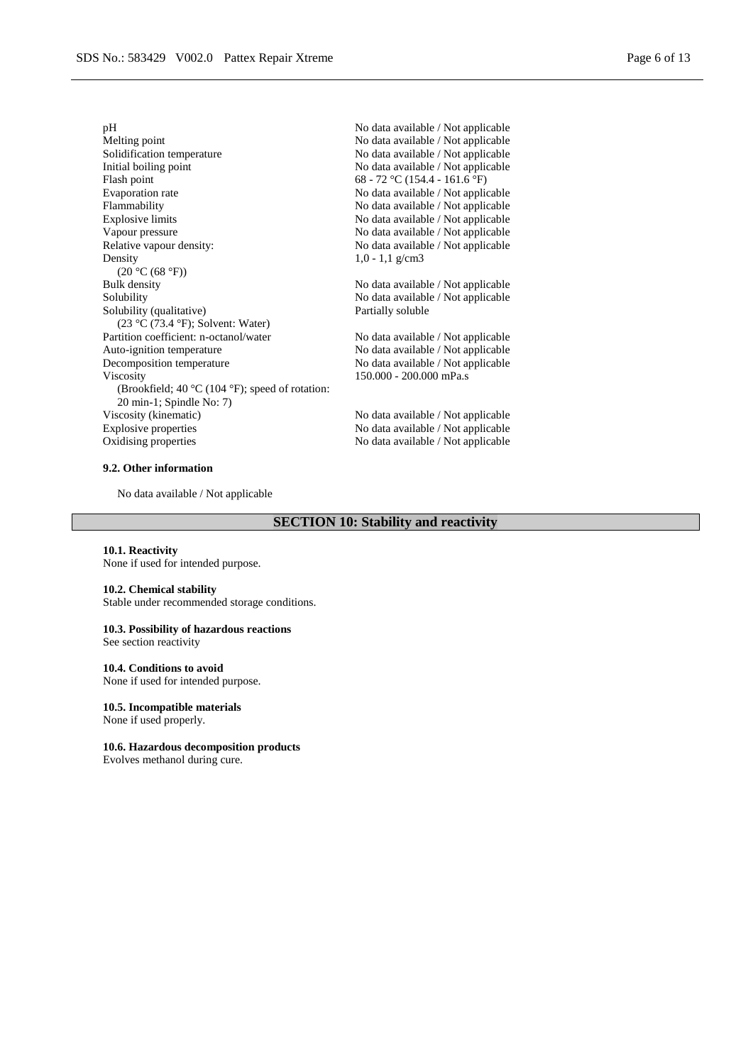Melting point<br>
Mo data available / Not applicable<br>
No data available / Not applicable<br>
No data available / Not applicable Solidification temperature<br>
Initial boiling point<br>
No data available / Not applicable<br>
No data available / Not applicable<br>
No data available / Not applicable Flash point 68 - 72 °C (154.4 - 161.6 °F)<br>Evaporation rate No data available / Not applie Evaporation rate No data available / Not applicable<br>Flammability No data available / Not applicable Explosive limits No data available / Not applicable<br>Vapour pressure No data available / Not applicable<br>No data available / Not applicable Vapour pressure<br>
Relative vapour density:<br>
No data available / Not applicable<br>
No data available / Not applicable<br>
No data available / Not applicable Density  $(20 °C (68 °F))$ <br>Bulk density Bulk density<br>Solubility No data available / Not applicable<br>Solubility No data available / Not applicable Solubility (qualitative) (23 °C (73.4 °F); Solvent: Water) Partition coefficient: n-octanol/water No data available / Not applicable Auto-ignition temperature No data available / Not applicable Decomposition temperature No data available / Not applicable Viscosity (Brookfield; 40 °C (104 °F); speed of rotation: 20 min-1; Spindle No: 7)<br>Viscosity (kinematic) Explosive properties No data available / Not applicable Oxidising properties No data available / Not applicable

#### **9.2. Other information**

No data available / Not applicable

### **SECTION 10: Stability and reactivity**

#### **10.1. Reactivity**

None if used for intended purpose.

#### **10.2. Chemical stability**

Stable under recommended storage conditions.

#### **10.3. Possibility of hazardous reactions**

See section reactivity

#### **10.4. Conditions to avoid**

None if used for intended purpose.

**10.5. Incompatible materials** None if used properly.

#### **10.6. Hazardous decomposition products**

Evolves methanol during cure.

pH No data available / Not applicable No data available / Not applicable No data available / Not applicable No data available / Not applicable 1,0 - 1,1 g/cm3

> No data available / Not applicable Partially soluble

> 150.000 - 200.000 mPa.s

No data available / Not applicable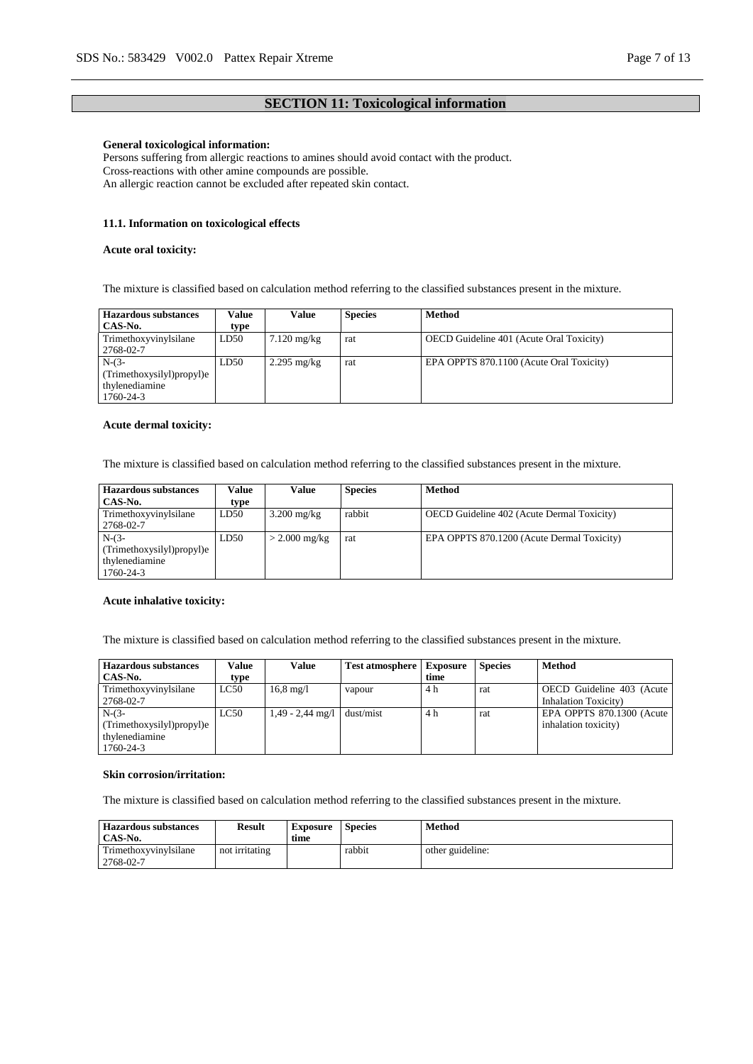### **SECTION 11: Toxicological information**

#### **General toxicological information:**

Persons suffering from allergic reactions to amines should avoid contact with the product. Cross-reactions with other amine compounds are possible. An allergic reaction cannot be excluded after repeated skin contact.

#### **11.1. Information on toxicological effects**

#### **Acute oral toxicity:**

The mixture is classified based on calculation method referring to the classified substances present in the mixture.

| Hazardous substances<br>CAS-No.                                     | Value<br>type | Value                 | <b>Species</b> | Method                                          |
|---------------------------------------------------------------------|---------------|-----------------------|----------------|-------------------------------------------------|
| Trimethoxyvinylsilane<br>2768-02-7                                  | LD50          | $7.120 \text{ mg/kg}$ | rat            | <b>OECD</b> Guideline 401 (Acute Oral Toxicity) |
| $N-(3-$<br>(Trimethoxysilyl)propyl)e<br>thylenediamine<br>1760-24-3 | LD50          | $2.295$ mg/kg         | rat            | EPA OPPTS 870.1100 (Acute Oral Toxicity)        |

#### **Acute dermal toxicity:**

The mixture is classified based on calculation method referring to the classified substances present in the mixture.

| Hazardous substances      | Value | Value                 | <b>Species</b> | <b>Method</b>                              |
|---------------------------|-------|-----------------------|----------------|--------------------------------------------|
| CAS-No.                   | type  |                       |                |                                            |
| Trimethoxyvinylsilane     | LD50  | $3.200 \text{ mg/kg}$ | rabbit         | OECD Guideline 402 (Acute Dermal Toxicity) |
| 2768-02-7                 |       |                       |                |                                            |
| $N-(3-$                   | LD50  | $> 2.000$ mg/kg       | rat            | EPA OPPTS 870.1200 (Acute Dermal Toxicity) |
| (Trimethoxysilyl)propyl)e |       |                       |                |                                            |
| thylenediamine            |       |                       |                |                                            |
| 1760-24-3                 |       |                       |                |                                            |

### **Acute inhalative toxicity:**

The mixture is classified based on calculation method referring to the classified substances present in the mixture.

| <b>Hazardous substances</b> | Value | Value                  | <b>Test atmosphere</b> | <b>Exposure</b> | <b>Species</b> | <b>Method</b>                |
|-----------------------------|-------|------------------------|------------------------|-----------------|----------------|------------------------------|
| CAS-No.                     | type  |                        |                        | time            |                |                              |
| Trimethoxyvinylsilane       | LC50  | $16.8 \,\mathrm{mg}/l$ | vapour                 | 4 h             | rat            | OECD Guideline 403 (Acute    |
| 2768-02-7                   |       |                        |                        |                 |                | <b>Inhalation Toxicity</b> ) |
| $N-(3-$                     | LC50  | $1,49 - 2,44$ mg/l     | dust/mist              | 4 h             | rat            | EPA OPPTS 870.1300 (Acute    |
| (Trimethoxysilyl)propyl)e   |       |                        |                        |                 |                | inhalation toxicity)         |
| thylenediamine              |       |                        |                        |                 |                |                              |
| 1760-24-3                   |       |                        |                        |                 |                |                              |

#### **Skin corrosion/irritation:**

The mixture is classified based on calculation method referring to the classified substances present in the mixture.

| <b>Hazardous substances</b><br>CAS-No. | Result         | <b>Exposure</b><br>time | <b>Species</b> | Method           |
|----------------------------------------|----------------|-------------------------|----------------|------------------|
| Trimethoxyvinylsilane<br>2768-02-7     | not irritating |                         | rabbit         | other guideline: |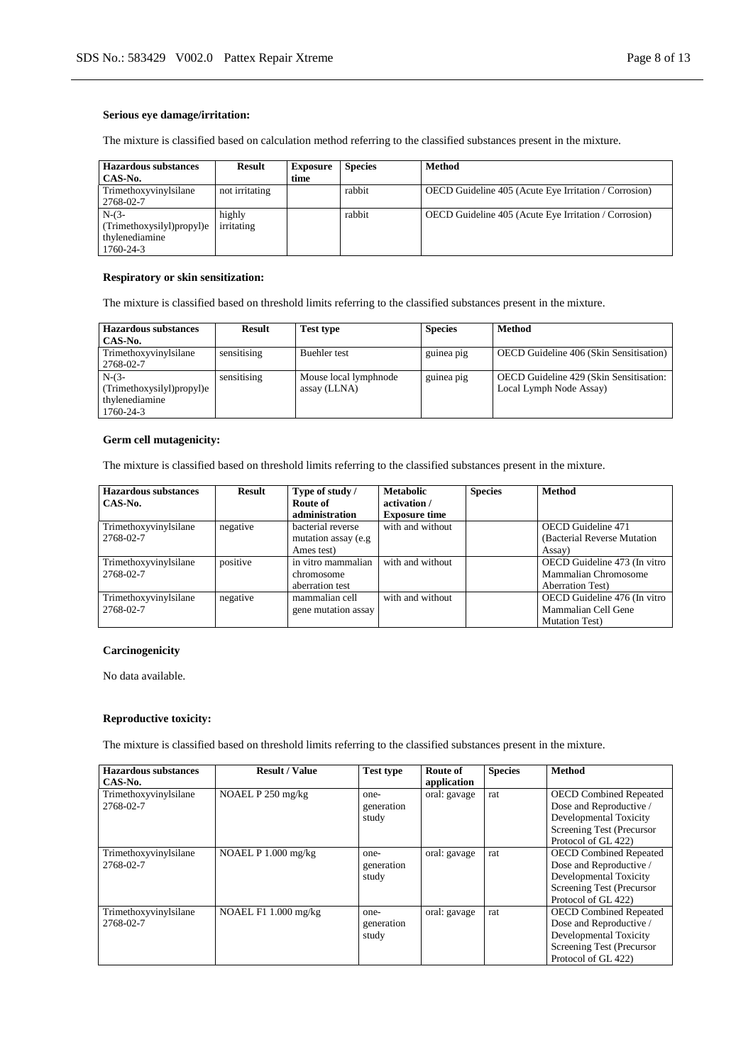### **Serious eye damage/irritation:**

The mixture is classified based on calculation method referring to the classified substances present in the mixture.

| <b>Hazardous substances</b><br>CAS-No.                              | <b>Result</b>        | <b>Exposure</b><br>time | <b>Species</b> | <b>Method</b>                                         |
|---------------------------------------------------------------------|----------------------|-------------------------|----------------|-------------------------------------------------------|
| Trimethoxyvinylsilane<br>2768-02-7                                  | not irritating       |                         | rabbit         | OECD Guideline 405 (Acute Eye Irritation / Corrosion) |
| $N-(3-$<br>(Trimethoxysilyl)propyl)e<br>thylenediamine<br>1760-24-3 | highly<br>irritating |                         | rabbit         | OECD Guideline 405 (Acute Eye Irritation / Corrosion) |

### **Respiratory or skin sensitization:**

The mixture is classified based on threshold limits referring to the classified substances present in the mixture.

| <b>Hazardous substances</b> | <b>Result</b> | <b>Test type</b>      | <b>Species</b> | Method                                         |
|-----------------------------|---------------|-----------------------|----------------|------------------------------------------------|
| CAS-No.                     |               |                       |                |                                                |
| Trimethoxyvinylsilane       | sensitising   | <b>Buehler</b> test   | guinea pig     | <b>OECD</b> Guideline 406 (Skin Sensitisation) |
| 2768-02-7                   |               |                       |                |                                                |
| $N-(3-$                     | sensitising   | Mouse local lymphnode | guinea pig     | OECD Guideline 429 (Skin Sensitisation:        |
| (Trimethoxysilyl)propyl)e   |               | assay (LLNA)          |                | Local Lymph Node Assay)                        |
| thylenediamine              |               |                       |                |                                                |
| 1760-24-3                   |               |                       |                |                                                |

### **Germ cell mutagenicity:**

The mixture is classified based on threshold limits referring to the classified substances present in the mixture.

| <b>Hazardous substances</b><br>CAS-No. | Result   | Type of study /<br>Route of<br>administration | <b>Metabolic</b><br>activation /<br><b>Exposure time</b> | <b>Species</b> | <b>Method</b>                |
|----------------------------------------|----------|-----------------------------------------------|----------------------------------------------------------|----------------|------------------------------|
| Trimethoxyvinylsilane                  | negative | bacterial reverse                             | with and without                                         |                | <b>OECD</b> Guideline 471    |
| 2768-02-7                              |          | mutation assay (e.g.                          |                                                          |                | (Bacterial Reverse Mutation) |
|                                        |          | Ames test)                                    |                                                          |                | Assay)                       |
| Trimethoxyvinylsilane                  | positive | in vitro mammalian                            | with and without                                         |                | OECD Guideline 473 (In vitro |
| 2768-02-7                              |          | chromosome                                    |                                                          |                | Mammalian Chromosome         |
|                                        |          | aberration test                               |                                                          |                | <b>Aberration Test</b> )     |
| Trimethoxyvinylsilane                  | negative | mammalian cell                                | with and without                                         |                | OECD Guideline 476 (In vitro |
| 2768-02-7                              |          | gene mutation assay                           |                                                          |                | Mammalian Cell Gene          |
|                                        |          |                                               |                                                          |                | <b>Mutation Test</b> )       |

### **Carcinogenicity**

No data available.

### **Reproductive toxicity:**

The mixture is classified based on threshold limits referring to the classified substances present in the mixture.

| <b>Hazardous substances</b> | <b>Result / Value</b>  | <b>Test type</b> | Route of     | <b>Species</b> | <b>Method</b>                 |
|-----------------------------|------------------------|------------------|--------------|----------------|-------------------------------|
| CAS-No.                     |                        |                  | application  |                |                               |
| Trimethoxyvinylsilane       | NOAEL P 250 mg/kg      | one-             | oral: gavage | rat            | <b>OECD Combined Repeated</b> |
| 2768-02-7                   |                        | generation       |              |                | Dose and Reproductive /       |
|                             |                        | study            |              |                | Developmental Toxicity        |
|                             |                        |                  |              |                | Screening Test (Precursor     |
|                             |                        |                  |              |                | Protocol of GL 422)           |
| Trimethoxyvinylsilane       | NOAEL $P$ 1.000 mg/kg  | one-             | oral: gavage | rat            | <b>OECD Combined Repeated</b> |
| 2768-02-7                   |                        | generation       |              |                | Dose and Reproductive /       |
|                             |                        | study            |              |                | Developmental Toxicity        |
|                             |                        |                  |              |                | Screening Test (Precursor     |
|                             |                        |                  |              |                | Protocol of GL 422)           |
| Trimethoxyvinylsilane       | NOAEL $F1 1.000$ mg/kg | one-             | oral: gavage | rat            | <b>OECD Combined Repeated</b> |
| 2768-02-7                   |                        | generation       |              |                | Dose and Reproductive /       |
|                             |                        | study            |              |                | Developmental Toxicity        |
|                             |                        |                  |              |                | Screening Test (Precursor     |
|                             |                        |                  |              |                | Protocol of GL 422)           |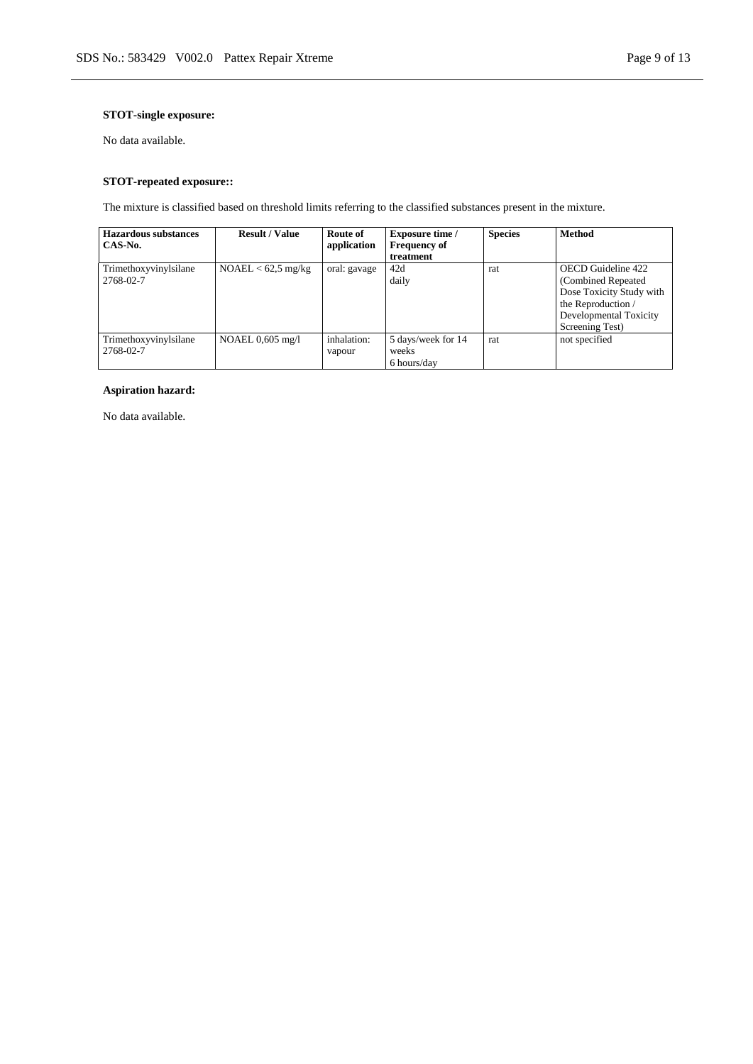### **STOT-single exposure:**

No data available.

### **STOT-repeated exposure::**

The mixture is classified based on threshold limits referring to the classified substances present in the mixture.

| <b>Hazardous substances</b> | <b>Result / Value</b> | Route of     | <b>Exposure time</b> / | <b>Species</b> | <b>Method</b>            |
|-----------------------------|-----------------------|--------------|------------------------|----------------|--------------------------|
| CAS-No.                     |                       | application  | <b>Frequency of</b>    |                |                          |
|                             |                       |              | treatment              |                |                          |
| Trimethoxyvinylsilane       | $NOAEL < 62.5$ mg/kg  | oral: gavage | 42d                    | rat            | OECD Guideline 422       |
| 2768-02-7                   |                       |              | daily                  |                | (Combined Repeated       |
|                             |                       |              |                        |                | Dose Toxicity Study with |
|                             |                       |              |                        |                | the Reproduction /       |
|                             |                       |              |                        |                | Developmental Toxicity   |
|                             |                       |              |                        |                | Screening Test)          |
| Trimethoxyvinylsilane       | NOAEL $0.605$ mg/l    | inhalation:  | 5 days/week for 14     | rat            | not specified            |
| 2768-02-7                   |                       | vapour       | weeks                  |                |                          |
|                             |                       |              | 6 hours/day            |                |                          |

### **Aspiration hazard:**

No data available.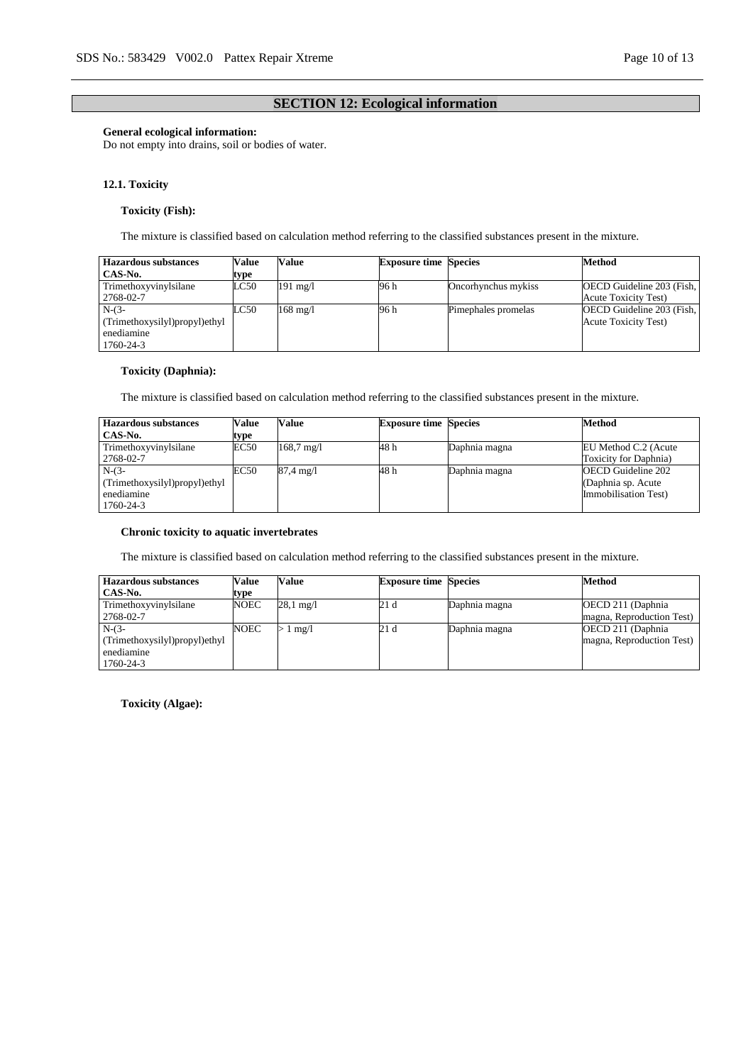### **SECTION 12: Ecological information**

### **General ecological information:**

Do not empty into drains, soil or bodies of water.

#### **12.1. Toxicity**

### **Toxicity (Fish):**

The mixture is classified based on calculation method referring to the classified substances present in the mixture.

| <b>Hazardous substances</b>   | Value | Value              | <b>Exposure time Species</b> |                     | Method                      |
|-------------------------------|-------|--------------------|------------------------------|---------------------|-----------------------------|
| CAS-No.                       | type  |                    |                              |                     |                             |
| Trimethoxyvinylsilane         | LC50  | $191 \text{ mg}/1$ | 96 h                         | Oncorhynchus mykiss | OECD Guideline 203 (Fish,   |
| 2768-02-7                     |       |                    |                              |                     | <b>Acute Toxicity Test)</b> |
| $N-(3-$                       | LC50  | $168 \text{ mg}/1$ | 96 h                         | Pimephales promelas | OECD Guideline 203 (Fish,   |
| (Trimethoxysilyl)propyl)ethyl |       |                    |                              |                     | <b>Acute Toxicity Test)</b> |
| enediamine                    |       |                    |                              |                     |                             |
| 1760-24-3                     |       |                    |                              |                     |                             |

### **Toxicity (Daphnia):**

The mixture is classified based on calculation method referring to the classified substances present in the mixture.

| <b>Hazardous substances</b>   | <b>Value</b> | Value                | <b>Exposure time Species</b> |               | Method                |
|-------------------------------|--------------|----------------------|------------------------------|---------------|-----------------------|
| CAS-No.                       | type         |                      |                              |               |                       |
| Trimethoxyvinylsilane         | EC50         | $168.7 \text{ mg}/1$ | 48 h                         | Daphnia magna | EU Method C.2 (Acute  |
| 2768-02-7                     |              |                      |                              |               | Toxicity for Daphnia) |
| $N-(3-$                       | EC50         | $87.4 \text{ mg}/1$  | 48 h                         | Daphnia magna | OECD Guideline 202    |
| (Trimethoxysilyl)propyl)ethyl |              |                      |                              |               | (Daphnia sp. Acute    |
| enediamine                    |              |                      |                              |               | Immobilisation Test)  |
| 1760-24-3                     |              |                      |                              |               |                       |

#### **Chronic toxicity to aquatic invertebrates**

The mixture is classified based on calculation method referring to the classified substances present in the mixture.

| <b>Hazardous substances</b>   | Value | Value               | <b>Exposure time Species</b> |               | <b>Method</b>             |
|-------------------------------|-------|---------------------|------------------------------|---------------|---------------------------|
| CAS-No.                       | type  |                     |                              |               |                           |
| Trimethoxyvinylsilane         | NOEC  | $28.1 \text{ mg}/1$ | 21 d                         | Daphnia magna | OECD 211 (Daphnia)        |
| 2768-02-7                     |       |                     |                              |               | magna, Reproduction Test) |
| $N-(3-$                       | NOEC  | $1 \text{ mg}/1$    | 21 d                         | Daphnia magna | OECD 211 (Daphnia)        |
| (Trimethoxysilyl)propyl)ethyl |       |                     |                              |               | magna, Reproduction Test) |
| enediamine                    |       |                     |                              |               |                           |
| 1760-24-3                     |       |                     |                              |               |                           |

**Toxicity (Algae):**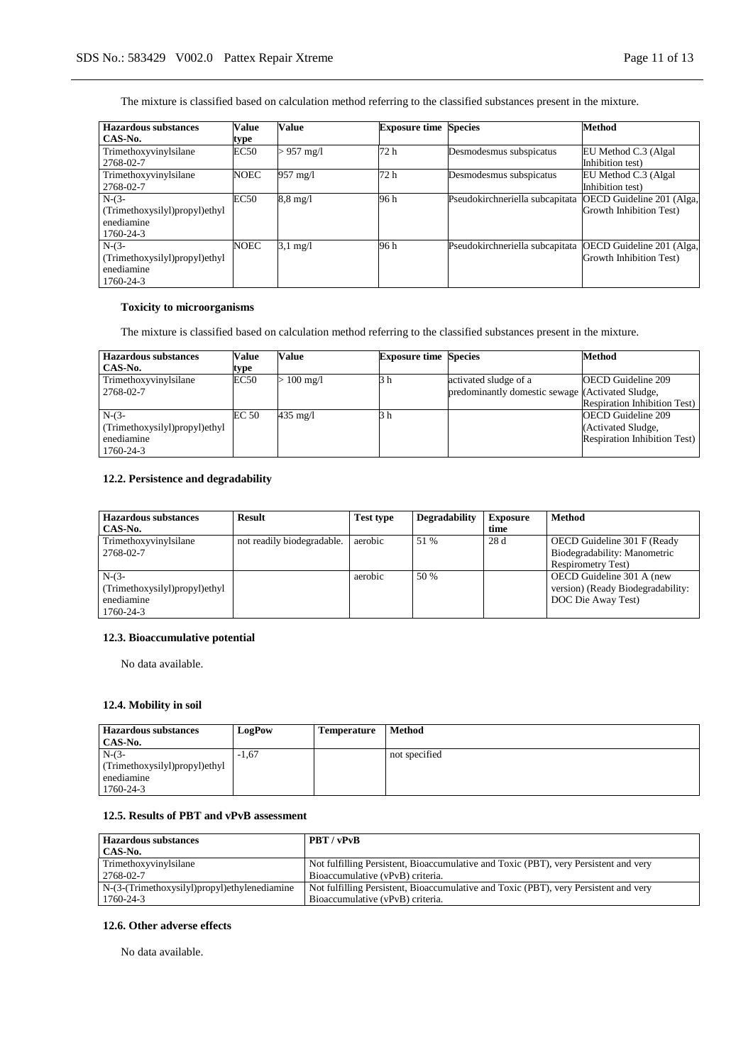The mixture is classified based on calculation method referring to the classified substances present in the mixture.

| <b>Hazardous substances</b>                                         | Value       | Value              | <b>Exposure time Species</b> |                                 | <b>Method</b>                                        |
|---------------------------------------------------------------------|-------------|--------------------|------------------------------|---------------------------------|------------------------------------------------------|
| CAS-No.                                                             | type        |                    |                              |                                 |                                                      |
| Trimethoxyvinylsilane<br>2768-02-7                                  | EC50        | $> 957$ mg/l       | 72 h                         | Desmodesmus subspicatus         | EU Method C.3 (Algal)<br>Inhibition test)            |
| Trimethoxyvinylsilane<br>2768-02-7                                  | <b>NOEC</b> | 957 mg/l           | 72 h                         | Desmodesmus subspicatus         | EU Method C.3 (Algal)<br>Inhibition test)            |
| $N-(3-$<br>(Trimethoxysilyl)propyl)ethyl<br>enediamine<br>1760-24-3 | EC50        | $8.8 \text{ mg}/1$ | 96 h                         | Pseudokirchneriella subcapitata | OECD Guideline 201 (Alga,<br>Growth Inhibition Test) |
| $N-(3-$<br>(Trimethoxysilyl)propyl)ethyl<br>enediamine<br>1760-24-3 | NOEC        | $3.1 \text{ mg}/1$ | 96 h                         | Pseudokirchneriella subcapitata | OECD Guideline 201 (Alga,<br>Growth Inhibition Test) |

#### **Toxicity to microorganisms**

The mixture is classified based on calculation method referring to the classified substances present in the mixture.

| <b>Hazardous substances</b>   | Value | Value            | <b>Exposure time Species</b> |                                                  | <b>Method</b>                       |
|-------------------------------|-------|------------------|------------------------------|--------------------------------------------------|-------------------------------------|
| CAS-No.                       | type  |                  |                              |                                                  |                                     |
| Trimethoxyvinylsilane         | EC50  | $\cdot$ 100 mg/l | 3 h                          | activated sludge of a                            | <b>OECD</b> Guideline 209           |
| 2768-02-7                     |       |                  |                              | predominantly domestic sewage (Activated Sludge, |                                     |
|                               |       |                  |                              |                                                  | <b>Respiration Inhibition Test)</b> |
| $N-(3-$                       | EC 50 | 435 mg/l         | h                            |                                                  | <b>OECD Guideline 209</b>           |
| (Trimethoxysilyl)propyl)ethyl |       |                  |                              |                                                  | (Activated Sludge,                  |
| enediamine                    |       |                  |                              |                                                  | <b>Respiration Inhibition Test)</b> |
| 1760-24-3                     |       |                  |                              |                                                  |                                     |

### **12.2. Persistence and degradability**

| <b>Hazardous substances</b><br>CAS-No.                              | Result                     | <b>Test type</b> | <b>Degradability</b> | <b>Exposure</b><br>time | <b>Method</b>                                                                            |
|---------------------------------------------------------------------|----------------------------|------------------|----------------------|-------------------------|------------------------------------------------------------------------------------------|
| Trimethoxyvinylsilane<br>2768-02-7                                  | not readily biodegradable. | aerobic          | 51 %                 | 28 d                    | OECD Guideline 301 F (Ready<br>Biodegradability: Manometric<br><b>Respirometry Test)</b> |
| $N-(3-$<br>(Trimethoxysilyl)propyl)ethyl<br>enediamine<br>1760-24-3 |                            | aerobic          | 50 %                 |                         | OECD Guideline 301 A (new<br>version) (Ready Biodegradability:<br>DOC Die Away Test)     |

### **12.3. Bioaccumulative potential**

No data available.

### **12.4. Mobility in soil**

| <b>Hazardous substances</b><br>CAS-No.                              | LogPow  | <b>Temperature</b> | <b>Method</b> |
|---------------------------------------------------------------------|---------|--------------------|---------------|
| $N-(3-$<br>(Trimethoxysilyl)propyl)ethyl<br>enediamine<br>1760-24-3 | $-1.67$ |                    | not specified |

### **12.5. Results of PBT and vPvB assessment**

| <b>Hazardous substances</b>                     | PBT / vPvB                                                                           |
|-------------------------------------------------|--------------------------------------------------------------------------------------|
| CAS-No.                                         |                                                                                      |
| Trimethoxyvinylsilane                           | Not fulfilling Persistent, Bioaccumulative and Toxic (PBT), very Persistent and very |
| 2768-02-7                                       | Bioaccumulative (vPvB) criteria.                                                     |
| $N-(3-(Trimethoxysilyl)propyl)$ ethylenediamine | Not fulfilling Persistent, Bioaccumulative and Toxic (PBT), very Persistent and very |
| 1760-24-3                                       | Bioaccumulative (vPvB) criteria.                                                     |

### **12.6. Other adverse effects**

No data available.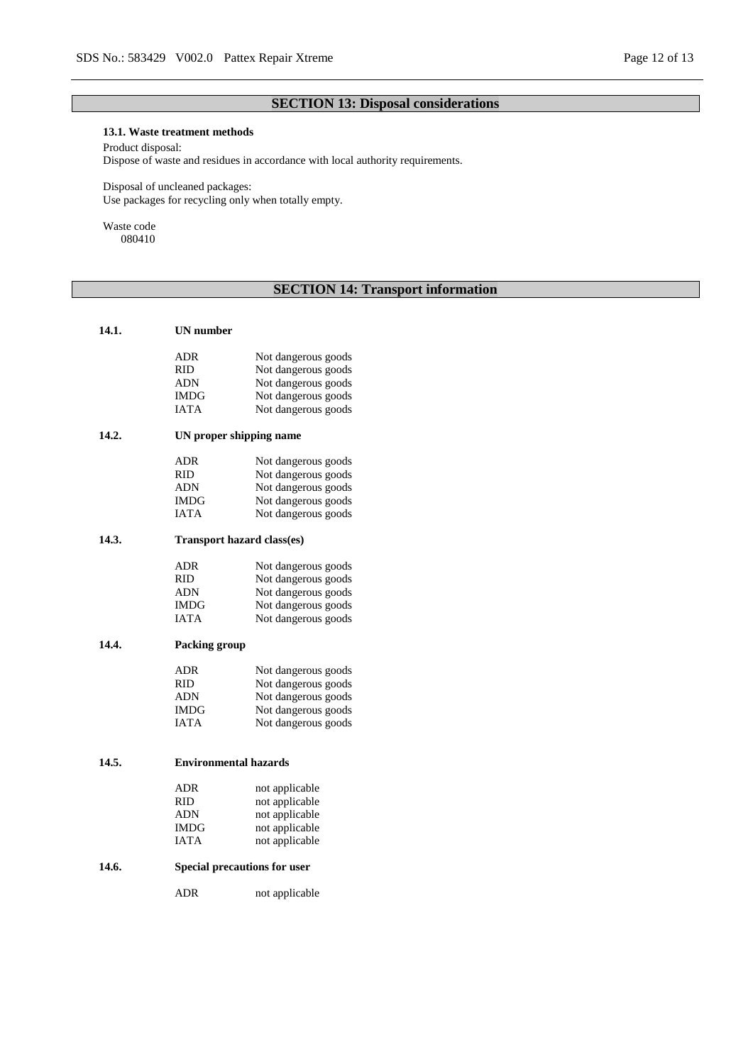# **SECTION 13: Disposal considerations**

### **13.1. Waste treatment methods**

Product disposal:

Dispose of waste and residues in accordance with local authority requirements.

Disposal of uncleaned packages: Use packages for recycling only when totally empty.

Waste code 080410

# **SECTION 14: Transport information**

| 14.1. | UN number                           |                     |  |  |  |  |  |
|-------|-------------------------------------|---------------------|--|--|--|--|--|
|       |                                     |                     |  |  |  |  |  |
|       | ADR                                 | Not dangerous goods |  |  |  |  |  |
|       | <b>RID</b>                          | Not dangerous goods |  |  |  |  |  |
|       | ADN                                 | Not dangerous goods |  |  |  |  |  |
|       | IMDG                                | Not dangerous goods |  |  |  |  |  |
|       | <b>IATA</b>                         | Not dangerous goods |  |  |  |  |  |
| 14.2. | UN proper shipping name             |                     |  |  |  |  |  |
|       | <b>ADR</b>                          | Not dangerous goods |  |  |  |  |  |
|       | RID.                                | Not dangerous goods |  |  |  |  |  |
|       | <b>ADN</b>                          | Not dangerous goods |  |  |  |  |  |
|       | IMDG                                | Not dangerous goods |  |  |  |  |  |
|       | IATA                                | Not dangerous goods |  |  |  |  |  |
| 14.3. | <b>Transport hazard class(es)</b>   |                     |  |  |  |  |  |
|       | <b>ADR</b>                          | Not dangerous goods |  |  |  |  |  |
|       | <b>RID</b>                          | Not dangerous goods |  |  |  |  |  |
|       | ADN                                 | Not dangerous goods |  |  |  |  |  |
|       | IMDG                                | Not dangerous goods |  |  |  |  |  |
|       | <b>IATA</b>                         | Not dangerous goods |  |  |  |  |  |
|       |                                     |                     |  |  |  |  |  |
| 14.4. | <b>Packing group</b>                |                     |  |  |  |  |  |
|       | <b>ADR</b>                          | Not dangerous goods |  |  |  |  |  |
|       | <b>RID</b>                          | Not dangerous goods |  |  |  |  |  |
|       | <b>ADN</b>                          | Not dangerous goods |  |  |  |  |  |
|       | IMDG                                | Not dangerous goods |  |  |  |  |  |
|       | <b>IATA</b>                         | Not dangerous goods |  |  |  |  |  |
|       |                                     |                     |  |  |  |  |  |
| 14.5. | <b>Environmental hazards</b>        |                     |  |  |  |  |  |
|       | ADR                                 | not applicable      |  |  |  |  |  |
|       | RID                                 | not applicable      |  |  |  |  |  |
|       | ADN                                 | not applicable      |  |  |  |  |  |
|       | IMDG                                | not applicable      |  |  |  |  |  |
|       | <b>IATA</b>                         | not applicable      |  |  |  |  |  |
| 14.6. | <b>Special precautions for user</b> |                     |  |  |  |  |  |
|       | <b>ADR</b>                          | not applicable      |  |  |  |  |  |
|       |                                     |                     |  |  |  |  |  |